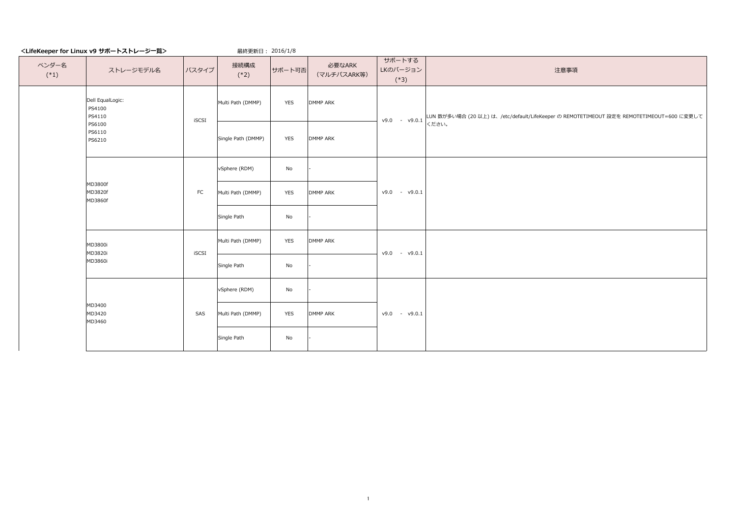最終更新日: 2016/1/8

## 注意事項

| ベンダー名<br>$(*1)$ | ストレージモデル名                            | バスタイプ      | 接続構成<br>$(*2)$     | サポート可否     | 必要なARK<br>(マルチパスARK等) | サポートする<br>LKのバージョン<br>$(*3)$ |       |
|-----------------|--------------------------------------|------------|--------------------|------------|-----------------------|------------------------------|-------|
|                 | Dell EqualLogic:<br>PS4100<br>PS4110 | iSCSI      | Multi Path (DMMP)  | <b>YES</b> | <b>DMMP ARK</b>       | v9.0<br>$- v9.0.1$           | LL    |
|                 | PS6100<br>PS6110<br>PS6210           |            | Single Path (DMMP) | <b>YES</b> | <b>DMMP ARK</b>       |                              | $\lt$ |
|                 |                                      |            | vSphere (RDM)      | No         |                       |                              |       |
|                 | MD3800f<br>MD3820f<br>MD3860f        | ${\sf FC}$ | Multi Path (DMMP)  | <b>YES</b> | <b>DMMP ARK</b>       | v9.0<br>$- v9.0.1$           |       |
|                 |                                      |            | Single Path        | No         |                       |                              |       |
|                 | MD3800i<br>MD3820i                   | iSCSI      | Multi Path (DMMP)  | <b>YES</b> | <b>DMMP ARK</b>       | v9.0<br>$ v9.0.1$            |       |
|                 | MD3860i                              |            | Single Path        | No         |                       |                              |       |
|                 |                                      |            | vSphere (RDM)      | No         |                       |                              |       |
|                 | MD3400<br>MD3420<br>MD3460           | SAS        | Multi Path (DMMP)  | <b>YES</b> | <b>DMMP ARK</b>       | v9.0.1<br>v9.0<br>$\sim$     |       |
|                 |                                      |            | Single Path        | No         |                       |                              |       |

LUN 数が多い場合 (20 以上) は、/etc/default/LifeKeeper の REMOTETIMEOUT 設定を REMOTETIMEOUT=600 に変更して ください。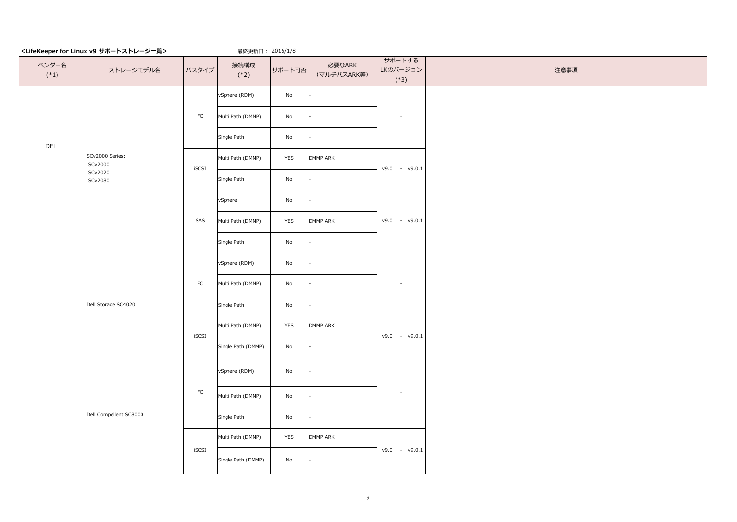最終更新日: 2016/1/8

注意事項

| ベンダー名<br>$(*1)$        | ストレージモデル名                  | バスタイプ       | 接続構成<br>$(*2)$               | サポート可否                       | 必要なARK<br>(マルチパスARK等) | サポートする<br>LKのバージョン<br>$(*3)$ |
|------------------------|----------------------------|-------------|------------------------------|------------------------------|-----------------------|------------------------------|
|                        |                            |             | vSphere (RDM)                | $\operatorname{\mathsf{No}}$ |                       |                              |
|                        |                            | ${\sf FC}$  | Multi Path (DMMP)            | $\mathsf{No}$                |                       |                              |
| <b>DELL</b>            |                            |             | Single Path                  | $\mathsf{No}$                |                       |                              |
|                        | SCv2000 Series:<br>SCv2000 | iSCSI       | Multi Path (DMMP)            | <b>YES</b>                   | <b>DMMP ARK</b>       | v9.0<br>v9.0.1<br>$\sim$     |
|                        | SCv2020<br>SCv2080         |             | Single Path                  | $\mathsf{No}$                |                       |                              |
|                        |                            |             | vSphere                      | $\operatorname{\mathsf{No}}$ |                       |                              |
|                        |                            | SAS         | Multi Path (DMMP)            | <b>YES</b>                   | <b>DMMP ARK</b>       | v9.0<br>$- v9.0.1$           |
|                        |                            |             | Single Path                  | $\mathsf{No}$                |                       |                              |
|                        |                            | ${\sf FC}$  | vSphere (RDM)                | $\operatorname{\mathsf{No}}$ |                       |                              |
|                        |                            |             | Multi Path (DMMP)            | $\mathsf{No}$                |                       |                              |
|                        | Dell Storage SC4020        |             | Single Path                  | $\mathsf{No}$                |                       |                              |
|                        |                            | iSCSI       | Multi Path (DMMP)            | <b>YES</b>                   | <b>DMMP ARK</b>       | v9.0<br>v9.0.1<br>$\sim$     |
|                        |                            |             | Single Path (DMMP)           | No                           |                       |                              |
|                        |                            |             | vSphere (RDM)                | $\operatorname{\mathsf{No}}$ |                       |                              |
|                        |                            | ${\sf FC}$  | Multi Path (DMMP)            | $\operatorname{\mathsf{No}}$ |                       |                              |
| Dell Compellent SC8000 |                            | Single Path | $\operatorname{\mathsf{No}}$ |                              |                       |                              |
|                        |                            |             | Multi Path (DMMP)            | <b>YES</b>                   | <b>DMMP ARK</b>       |                              |
|                        |                            | iSCSI       | Single Path (DMMP)           | $\operatorname{\mathsf{No}}$ |                       | v9.0<br>v9.0.1<br>$\sim$     |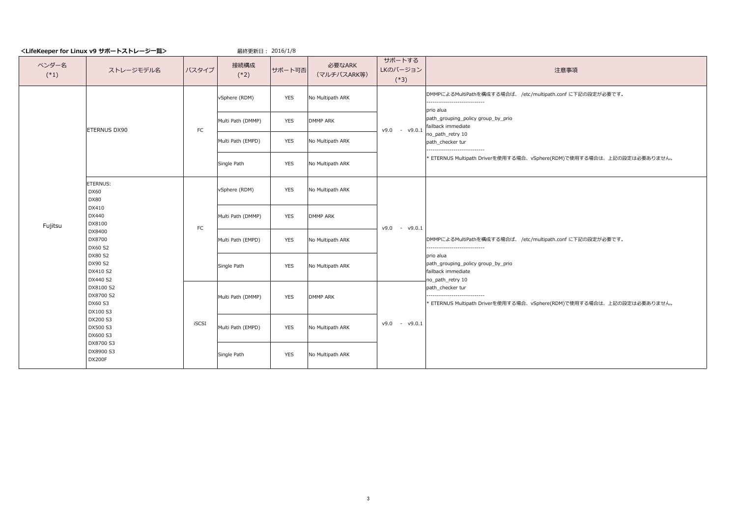最終更新日 : 2016/1/8

#### 注意事項

--------------------------- io alua

ath\_grouping\_policy group\_by\_prio ilback immediate

path\_retry 10

ath\_checker tur

--------------------------- io alua ath\_grouping\_policy group\_by\_prio ilback immediate path\_retry 10 ath\_checker tur

DMMPによるMultiPathを構成する場合ば、 /etc/multipath.conf に下記の設定が必要です。

| $\frac{1}{2}$ is the contract $\frac{1}{2}$ in $\frac{1}{2}$ |                                                                                                                                                                                                                                                                                                          |                   | $4x + 2x + 7 = 1$ |                  |                       |                              |                                                 |
|--------------------------------------------------------------|----------------------------------------------------------------------------------------------------------------------------------------------------------------------------------------------------------------------------------------------------------------------------------------------------------|-------------------|-------------------|------------------|-----------------------|------------------------------|-------------------------------------------------|
| ベンダー名<br>$(*1)$                                              | ストレージモデル名                                                                                                                                                                                                                                                                                                | バスタイプ             | 接続構成<br>$(*2)$    | サポート可否           | 必要なARK<br>(マルチパスARK等) | サポートする<br>LKのバージョン<br>$(*3)$ |                                                 |
|                                                              |                                                                                                                                                                                                                                                                                                          |                   | vSphere (RDM)     | <b>YES</b>       | No Multipath ARK      |                              | DM<br>prio                                      |
|                                                              | <b>ETERNUS DX90</b>                                                                                                                                                                                                                                                                                      | ${\sf FC}$        | Multi Path (DMMP) | <b>YES</b>       | <b>DMMP ARK</b>       | v9.0<br>V9.0.1<br>$\sim$     | pat<br>faill                                    |
|                                                              |                                                                                                                                                                                                                                                                                                          | Multi Path (EMPD) | <b>YES</b>        | No Multipath ARK |                       | no<br>pat                    |                                                 |
|                                                              |                                                                                                                                                                                                                                                                                                          | Single Path       | <b>YES</b>        | No Multipath ARK |                       | $* E$                        |                                                 |
|                                                              | ETERNUS:<br><b>DX60</b><br><b>DX80</b><br>DX410<br>DX440<br>DX8100<br>Fujitsu<br>DX8400<br>DX8700<br><b>DX60 S2</b><br><b>DX80 S2</b><br>DX90 S2<br>DX410 S2<br>DX440 S2<br>DX8100 S2<br>DX8700 S2<br><b>DX60 S3</b><br>DX100 S3<br>DX200 S3<br>DX500 S3<br>DX600 S3<br>DX8700 S3<br>DX8900 S3<br>DX200F | ${\sf FC}$        | vSphere (RDM)     | <b>YES</b>       | No Multipath ARK      |                              |                                                 |
|                                                              |                                                                                                                                                                                                                                                                                                          |                   | Multi Path (DMMP) | <b>YES</b>       | <b>DMMP ARK</b>       | v9.0<br>$- v9.0.1$           |                                                 |
|                                                              |                                                                                                                                                                                                                                                                                                          |                   | Multi Path (EMPD) | <b>YES</b>       | No Multipath ARK      |                              | <b>DM</b><br>----<br>prio<br>pat<br>faill<br>no |
|                                                              |                                                                                                                                                                                                                                                                                                          |                   | Single Path       | <b>YES</b>       | No Multipath ARK      |                              |                                                 |
|                                                              |                                                                                                                                                                                                                                                                                                          |                   | Multi Path (DMMP) | <b>YES</b>       | <b>DMMP ARK</b>       |                              | pat<br>----<br>$* E$                            |
|                                                              |                                                                                                                                                                                                                                                                                                          | <b>iSCSI</b>      | Multi Path (EMPD) | <b>YES</b>       | No Multipath ARK      | v9.0<br>v9.0.1<br>$\sim$     |                                                 |
|                                                              |                                                                                                                                                                                                                                                                                                          |                   | Single Path       | <b>YES</b>       | No Multipath ARK      |                              |                                                 |

----------------------------

ETERNUS Multipath Driverを使用する場合、vSphere(RDM)で使用する場合は、上記の設定は必要ありません。

DMMPによるMultiPathを構成する場合ば、 /etc/multipath.conf に下記の設定が必要です。

----------------------------

ETERNUS Multipath Driverを使用する場合、vSphere(RDM)で使用する場合は、上記の設定は必要ありません。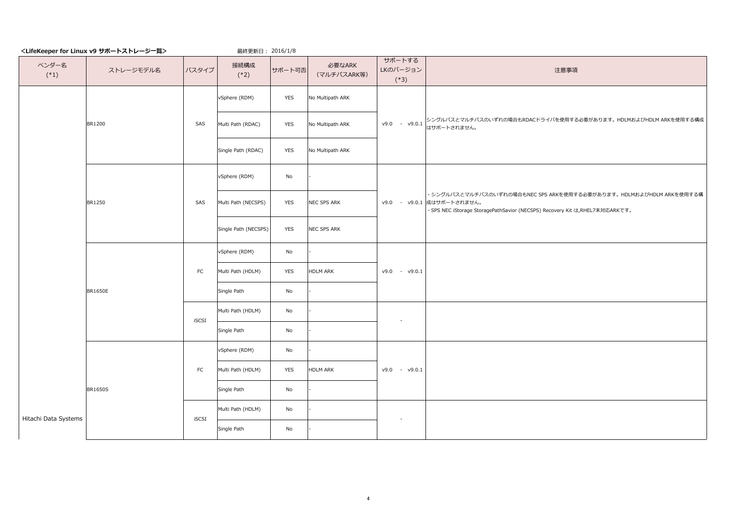最終更新日: 2016/1/8

## 注意事項

| ベンダー名<br>$(*1)$      | ストレージモデル名      | バスタイプ      | 接続構成<br>$(*2)$       | サポート可否                       | 必要なARK<br>(マルチパスARK等) | サポートする<br>LKのバージョン<br>$(*3)$ |                        |
|----------------------|----------------|------------|----------------------|------------------------------|-----------------------|------------------------------|------------------------|
|                      |                |            | vSphere (RDM)        | <b>YES</b>                   | No Multipath ARK      |                              |                        |
|                      | <b>BR1200</b>  | SAS        | Multi Path (RDAC)    | <b>YES</b>                   | No Multipath ARK      | $- v9.0.1$<br>v9.0           | $\geq$<br>は            |
|                      |                |            | Single Path (RDAC)   | <b>YES</b>                   | No Multipath ARK      |                              |                        |
|                      |                |            | vSphere (RDM)        | No                           |                       |                              |                        |
|                      | <b>BR1250</b>  | SAS        | Multi Path (NECSPS)  | <b>YES</b>                   | NEC SPS ARK           | - v9.0.1 成(<br>v9.0          | $\cdot$ :<br>$\cdot$ 5 |
|                      |                |            | Single Path (NECSPS) | <b>YES</b>                   | NEC SPS ARK           |                              |                        |
|                      |                |            | vSphere (RDM)        | No                           |                       |                              |                        |
|                      |                | FC         | Multi Path (HDLM)    | <b>YES</b>                   | HDLM ARK              | $v9.0 - v9.0.1$              |                        |
|                      | <b>BR1650E</b> |            | Single Path          | $\operatorname{\mathsf{No}}$ |                       |                              |                        |
|                      |                | iSCSI      | Multi Path (HDLM)    | No                           |                       |                              |                        |
|                      |                |            | Single Path          | No                           |                       |                              |                        |
|                      |                |            | vSphere (RDM)        | No                           |                       |                              |                        |
|                      |                | ${\sf FC}$ | Multi Path (HDLM)    | <b>YES</b>                   | <b>HDLM ARK</b>       | v9.0<br>v9.0.1<br>$\sim$ .   |                        |
|                      | <b>BR1650S</b> |            | Single Path          | $\operatorname{\mathsf{No}}$ |                       |                              |                        |
| Hitachi Data Systems |                | iSCSI      | Multi Path (HDLM)    | No                           |                       |                              |                        |
|                      |                |            | Single Path          | $\operatorname{\mathsf{No}}$ |                       |                              |                        |

シングルパスとマルチパスのいずれの場合もRDACドライバを使用する必要があります。HDLMおよびHDLM ARKを使用する構成 はサポートされません。

・シングルパスとマルチパスのいずれの場合もNEC SPS ARKを使用する必要があります。HDLMおよびHDLM ARKを使用する構 成はサポートされません。

・SPS NEC iStorage StoragePathSavior (NECSPS) Recovery Kit は,RHEL7未対応ARKです。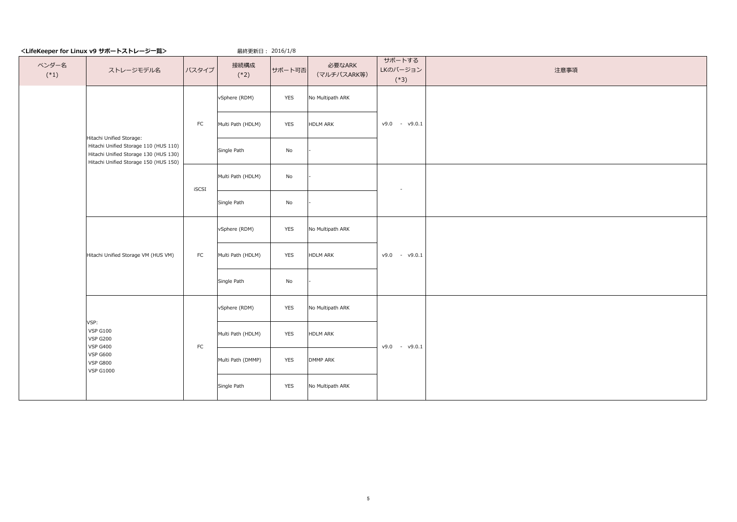最終更新日: 2016/1/8

| ベンダー名<br>$(*1)$ | ストレージモデル名                                                                                                                                                   | バスタイプ     | 接続構成<br>$(*2)$    | サポート可否     | 必要なARK<br>(マルチパスARK等) | サポートする<br>LKのバージョン<br>$(*3)$ | 注意事項 |
|-----------------|-------------------------------------------------------------------------------------------------------------------------------------------------------------|-----------|-------------------|------------|-----------------------|------------------------------|------|
|                 |                                                                                                                                                             |           | vSphere (RDM)     | <b>YES</b> | No Multipath ARK      |                              |      |
|                 |                                                                                                                                                             | <b>FC</b> | Multi Path (HDLM) | <b>YES</b> | HDLM ARK              | $v9.0 - v9.0.1$              |      |
|                 | Hitachi Unified Storage:<br>Hitachi Unified Storage 110 (HUS 110) $\vert$<br>Hitachi Unified Storage 130 (HUS 130)<br>Hitachi Unified Storage 150 (HUS 150) |           | Single Path       | No         |                       |                              |      |
|                 |                                                                                                                                                             | iSCSI     | Multi Path (HDLM) | No         |                       |                              |      |
|                 |                                                                                                                                                             |           | Single Path       | No         |                       |                              |      |
|                 |                                                                                                                                                             |           | vSphere (RDM)     | <b>YES</b> | No Multipath ARK      |                              |      |
|                 | Hitachi Unified Storage VM (HUS VM)                                                                                                                         | <b>FC</b> | Multi Path (HDLM) | <b>YES</b> | HDLM ARK              | $v9.0 - v9.0.1$              |      |
|                 |                                                                                                                                                             |           | Single Path       | No         |                       |                              |      |
|                 |                                                                                                                                                             |           | vSphere (RDM)     | <b>YES</b> | No Multipath ARK      |                              |      |
|                 | VSP:<br>VSP G100<br><b>VSP G200</b><br><b>VSP G400</b>                                                                                                      | FC        | Multi Path (HDLM) | <b>YES</b> | HDLM ARK              | $v9.0 - v9.0.1$              |      |
|                 | <b>VSP G600</b><br><b>VSP G800</b><br><b>VSP G1000</b>                                                                                                      |           | Multi Path (DMMP) | <b>YES</b> | DMMP ARK              |                              |      |
|                 |                                                                                                                                                             |           | Single Path       | <b>YES</b> | No Multipath ARK      |                              |      |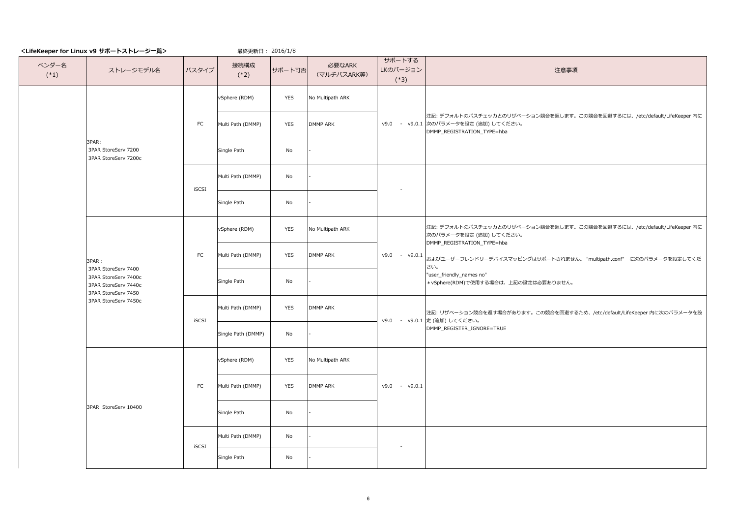最終更新日: 2016/1/8

#### 注意事項

注記: デフォルトのパスチェッカとのリザベーション競合を返します。この競合を回避するには、/etc/default/LifeKeeper 内に 次のパラメータを設定 (追加) してください。

DMMP\_REGISTRATION\_TYPE=hba

| ベンダー名<br>$(*1)$ | ストレージモデル名                                                                                  | バスタイプ      | 接続構成<br>$(*2)$     | サポート可否     | 必要なARK<br>(マルチパスARK等) | サポートする<br>LKのバージョン<br>$(*3)$ |                    |
|-----------------|--------------------------------------------------------------------------------------------|------------|--------------------|------------|-----------------------|------------------------------|--------------------|
|                 |                                                                                            |            | vSphere (RDM)      | <b>YES</b> | No Multipath ARK      |                              |                    |
|                 | 3PAR:<br>3PAR StoreServ 7200<br>3PAR StoreServ 7200c                                       | ${\sf FC}$ | Multi Path (DMMP)  | <b>YES</b> | <b>DMMP ARK</b>       | v9.0.1 次<br>v9.0<br>$\pm$    | 注<br><b>D</b>      |
|                 |                                                                                            |            | Single Path        | No         |                       |                              |                    |
|                 |                                                                                            |            | Multi Path (DMMP)  | No         |                       |                              |                    |
|                 |                                                                                            | iSCSI      | Single Path        | No         |                       |                              |                    |
|                 |                                                                                            | ${\sf FC}$ | vSphere (RDM)      | <b>YES</b> | No Multipath ARK      |                              | 注<br>次<br><b>D</b> |
|                 | 3PAR :                                                                                     |            | Multi Path (DMMP)  | <b>YES</b> | <b>DMMP ARK</b>       | $- v9.0.1$<br>v9.0           | お<br>$ \exists$    |
|                 | 3PAR StoreServ 7400<br>3PAR StoreServ 7400c<br>3PAR StoreServ 7440c<br>3PAR StoreServ 7450 |            | Single Path        | No         |                       |                              | ∣"u<br>$*$         |
|                 | 3PAR StoreServ 7450c                                                                       |            | Multi Path (DMMP)  | <b>YES</b> | <b>DMMP ARK</b>       | v9.0.1 定<br>v9.0<br>$\sim$   | 注                  |
|                 |                                                                                            | iSCSI      | Single Path (DMMP) | No         |                       |                              | DI                 |
|                 |                                                                                            |            | vSphere (RDM)      | <b>YES</b> | No Multipath ARK      |                              |                    |
|                 | 3PAR StoreServ 10400                                                                       | FC         | Multi Path (DMMP)  | <b>YES</b> | <b>DMMP ARK</b>       | v9.0<br>v9.0.1<br>$\sim$     |                    |
|                 |                                                                                            |            | Single Path        | No         |                       |                              |                    |
|                 |                                                                                            | iSCSI      | Multi Path (DMMP)  | No         |                       |                              |                    |
|                 |                                                                                            |            | Single Path        | No         |                       |                              |                    |

およびユーザーフレンドリーデバイスマッピングはサポートされません。 "multipath.conf" に次のパラメータを設定してくだ さい。

user\_friendly\_names no"

\*vSphere(RDM)で使用する場合は、上記の設定は必要ありません。

注記: デフォルトのパスチェッカとのリザベーション競合を返します。この競合を回避するには、/etc/default/LifeKeeper 内に 次のパラメータを設定 (追加) してください。 DMMP\_REGISTRATION\_TYPE=hba

注記: リザベーション競合を返す場合があります。この競合を回避するため、/etc/default/LifeKeeper 内に次のパラメータを設 定 (追加) してください。 DMMP\_REGISTER\_IGNORE=TRUE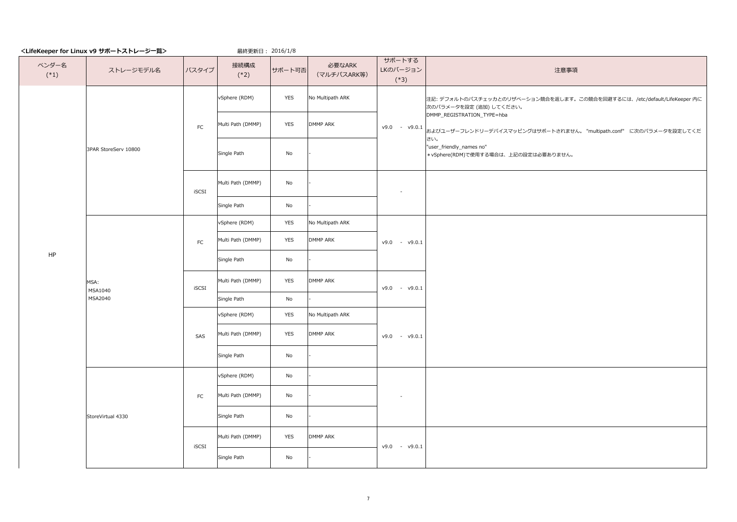最終更新日: 2016/1/8

#### 注意事項

| ベンダー名<br>$(*1)$ | ストレージモデル名                  | バスタイプ      | 接続構成<br>$(*2)$    | サポート可否                       | 必要なARK<br>(マルチパスARK等) | サポートする<br>LKのバージョン<br>$(*3)$               |
|-----------------|----------------------------|------------|-------------------|------------------------------|-----------------------|--------------------------------------------|
|                 |                            |            | vSphere (RDM)     | <b>YES</b>                   | No Multipath ARK      | 注<br>次<br>D                                |
|                 |                            | FC         | Multi Path (DMMP) | <b>YES</b>                   | <b>DMMP ARK</b>       | v9.0<br>$- v9.0.1$<br>お                    |
|                 | 3PAR StoreServ 10800       |            | Single Path       | No                           |                       | đ<br>"<br>$\ast$                           |
|                 |                            | iSCSI      | Multi Path (DMMP) | $\operatorname{\mathsf{No}}$ |                       |                                            |
|                 |                            |            | Single Path       | No                           |                       |                                            |
|                 | MSA:<br>MSA1040<br>MSA2040 | ${\sf FC}$ | vSphere (RDM)     | <b>YES</b>                   | No Multipath ARK      |                                            |
|                 |                            |            | Multi Path (DMMP) | <b>YES</b>                   | <b>DMMP ARK</b>       | v9.0<br>v9.0.1<br>$\overline{\phantom{a}}$ |
| HP              |                            |            | Single Path       | $\operatorname{\mathsf{No}}$ |                       |                                            |
|                 |                            | iSCSI      | Multi Path (DMMP) | <b>YES</b>                   | <b>DMMP ARK</b>       | v9.0<br>v9.0.1<br>$\pm$                    |
|                 |                            |            | Single Path       | $\operatorname{\mathsf{No}}$ |                       |                                            |
|                 |                            |            | vSphere (RDM)     | <b>YES</b>                   | No Multipath ARK      |                                            |
|                 |                            | SAS        | Multi Path (DMMP) | <b>YES</b>                   | <b>DMMP ARK</b>       | v9.0<br>v9.0.1<br>$\blacksquare$           |
|                 |                            |            | Single Path       | $\operatorname{\mathsf{No}}$ |                       |                                            |
|                 |                            |            | vSphere (RDM)     | $\operatorname{\mathsf{No}}$ |                       |                                            |
|                 |                            | ${\sf FC}$ | Multi Path (DMMP) | $\operatorname{\mathsf{No}}$ |                       | $\overline{\phantom{a}}$                   |
|                 | StoreVirtual 4330          |            | Single Path       | $\operatorname{\mathsf{No}}$ |                       |                                            |
|                 |                            | iSCSI      | Multi Path (DMMP) | <b>YES</b>                   | <b>DMMP ARK</b>       | v9.0<br>v9.0.1<br>$\overline{\phantom{a}}$ |
|                 |                            |            | Single Path       | $\operatorname{\mathsf{No}}$ |                       |                                            |

注記: デフォルトのパスチェッカとのリザベーション競合を返します。この競合を回避するには、/etc/default/LifeKeeper 内に 次のパラメータを設定 (追加) してください。

DMMP\_REGISTRATION\_TYPE=hba

およびユーザーフレンドリーデバイスマッピングはサポートされません。 "multipath.conf" に次のパラメータを設定してくだ さい。

"user\_friendly\_names no"

\*vSphere(RDM)で使用する場合は、上記の設定は必要ありません。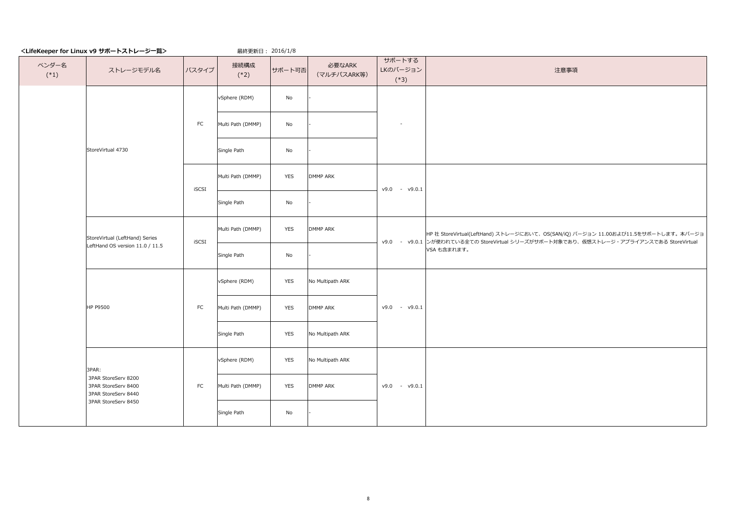最終更新日: 2016/1/8

注意事項

| ベンダー名<br>$(*1)$ | ストレージモデル名                                                         | バスタイプ     | 接続構成<br>$(*2)$    | サポート可否     | 必要なARK<br>(マルチパスARK等) | サポートする<br>LKのバージョン<br>$(*3)$ |    |
|-----------------|-------------------------------------------------------------------|-----------|-------------------|------------|-----------------------|------------------------------|----|
|                 |                                                                   |           | vSphere (RDM)     | No         |                       |                              |    |
|                 |                                                                   | <b>FC</b> | Multi Path (DMMP) | No         |                       |                              |    |
|                 | StoreVirtual 4730                                                 |           | Single Path       | No         |                       |                              |    |
|                 |                                                                   | iSCSI     | Multi Path (DMMP) | <b>YES</b> | <b>DMMP ARK</b>       | v9.0<br>$- v9.0.1$           |    |
|                 |                                                                   |           | Single Path       | No         |                       |                              |    |
|                 | StoreVirtual (LeftHand) Series                                    | iSCSI     | Multi Path (DMMP) | <b>YES</b> | <b>DMMP ARK</b>       | $-$ v9.0.1 $\ge$<br>v9.0     | HF |
|                 | LeftHand OS version 11.0 / 11.5                                   |           | Single Path       | No         |                       |                              | VS |
|                 |                                                                   |           | vSphere (RDM)     | <b>YES</b> | No Multipath ARK      |                              |    |
|                 | <b>HP P9500</b>                                                   | <b>FC</b> | Multi Path (DMMP) | <b>YES</b> | <b>DMMP ARK</b>       | v9.0<br>v9.0.1<br>$\sim$     |    |
|                 |                                                                   |           | Single Path       | <b>YES</b> | No Multipath ARK      |                              |    |
|                 | 3PAR:                                                             |           | vSphere (RDM)     | <b>YES</b> | No Multipath ARK      |                              |    |
|                 | 3PAR StoreServ 8200<br>3PAR StoreServ 8400<br>3PAR StoreServ 8440 | FC        | Multi Path (DMMP) | <b>YES</b> | <b>DMMP ARK</b>       | v9.0<br>$- v9.0.1$           |    |
|                 | 3PAR StoreServ 8450                                               |           | Single Path       | No         |                       |                              |    |

HP 社 StoreVirtual(LeftHand) ストレージにおいて、OS(SAN/iQ) バージョン 11.00および11.5をサポートします。本バージョ ンが使われている全ての StoreVirtual シリーズがサポート対象であり、仮想ストレージ・アプライアンスである StoreVirtual VSA も含まれます。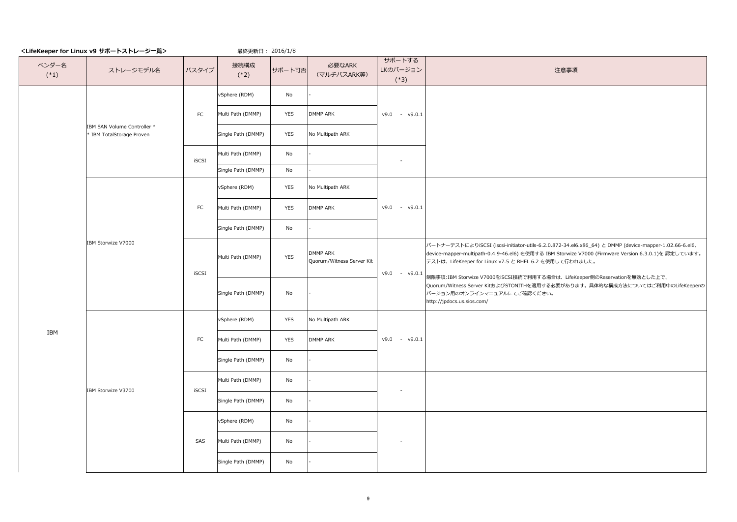最終更新日: 2016/1/8

注意事項

|                 |                                                          |            |                    | $\sim$ $\sim$ $\sim$ |                                       |                                  |                      |
|-----------------|----------------------------------------------------------|------------|--------------------|----------------------|---------------------------------------|----------------------------------|----------------------|
| ベンダー名<br>$(*1)$ | ストレージモデル名                                                | バスタイプ      | 接続構成<br>$(*2)$     | サポート可否               | 必要なARK<br>(マルチパスARK等)                 | サポートする<br>LKのバージョン<br>$(*3)$     |                      |
|                 |                                                          |            | vSphere (RDM)      | No                   |                                       |                                  |                      |
|                 |                                                          | ${\sf FC}$ | Multi Path (DMMP)  | <b>YES</b>           | <b>DMMP ARK</b>                       | v9.0<br>v9.0.1<br>$\sim$         |                      |
|                 | IBM SAN Volume Controller *<br>* IBM TotalStorage Proven |            | Single Path (DMMP) | <b>YES</b>           | No Multipath ARK                      |                                  |                      |
|                 |                                                          | iSCSI      | Multi Path (DMMP)  | No                   |                                       |                                  |                      |
|                 |                                                          |            | Single Path (DMMP) | No                   |                                       |                                  |                      |
|                 |                                                          |            | vSphere (RDM)      | <b>YES</b>           | No Multipath ARK                      |                                  |                      |
|                 |                                                          | ${\sf FC}$ | Multi Path (DMMP)  | <b>YES</b>           | <b>DMMP ARK</b>                       | v9.0.1<br>v9.0<br>$\sim$         |                      |
|                 |                                                          |            | Single Path (DMMP) | No                   |                                       |                                  |                      |
|                 | IBM Storwize V7000                                       | iSCSI      | Multi Path (DMMP)  | <b>YES</b>           | DMMP ARK<br>Quorum/Witness Server Kit |                                  | パ<br>de<br>デ.        |
|                 |                                                          |            | Single Path (DMMP) | No                   |                                       | $- v9.0.1$<br>v9.0               | 制<br>Que<br>バ<br>htl |
|                 |                                                          |            | vSphere (RDM)      | <b>YES</b>           | No Multipath ARK                      |                                  |                      |
| IBM             |                                                          | ${\sf FC}$ | Multi Path (DMMP)  | <b>YES</b>           | <b>DMMP ARK</b>                       | v9.0<br>v9.0.1<br>$\blacksquare$ |                      |
|                 |                                                          |            | Single Path (DMMP) | No                   |                                       |                                  |                      |
|                 | IBM Storwize V3700                                       | iSCSI      | Multi Path (DMMP)  | No                   |                                       |                                  |                      |
|                 |                                                          |            | Single Path (DMMP) | No                   |                                       |                                  |                      |
|                 |                                                          |            | vSphere (RDM)      | No                   |                                       |                                  |                      |
|                 |                                                          | SAS        | Multi Path (DMMP)  | No                   |                                       |                                  |                      |
|                 |                                                          |            | Single Path (DMMP) | No                   |                                       |                                  |                      |
|                 |                                                          |            |                    |                      |                                       |                                  |                      |

パートナーテストによりiSCSI (iscsi-initiator-utils-6.2.0.872-34.el6.x86\_64) と DMMP (device-mapper-1.02.66-6.el6、 evice-mapper-multipath-0.4.9-46.el6) を使用する IBM Storwize V7000 (Firmware Version 6.3.0.1)を 認定しています。 テストは、LifeKeeper for Linux v7.5 と RHEL 6.2 を使用して行われました。

制限事項:IBM Storwize V7000をiSCSI接続で利用する場合は、LifeKeeper側のReservationを無効とした上で、 uorum/Witness Server KitおよびSTONITHを適用する必要があります。具体的な構成方法についてはご利用中のLifeKeeperの | バージョン用のオンラインマニュアルにてご確認ください。 http://jpdocs.us.sios.com/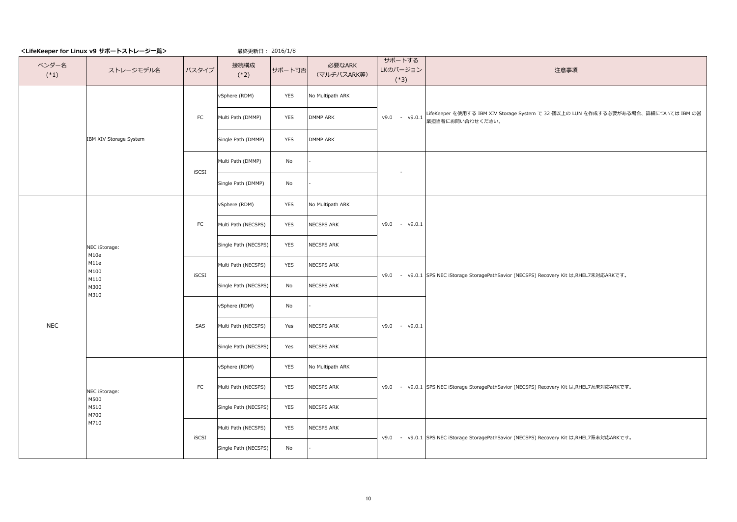最終更新日: 2016/1/8

## 注意事項

| ベンダー名<br>$(*1)$ | ストレージモデル名                                     | バスタイプ      | 接続構成<br>$(*2)$       | サポート可否     | 必要なARK<br>(マルチパスARK等) | サポートする<br>LKのバージョン<br>$(*3)$ |                |
|-----------------|-----------------------------------------------|------------|----------------------|------------|-----------------------|------------------------------|----------------|
|                 |                                               |            | vSphere (RDM)        | <b>YES</b> | No Multipath ARK      |                              |                |
|                 |                                               | ${\sf FC}$ | Multi Path (DMMP)    | <b>YES</b> | <b>DMMP ARK</b>       | v9.0<br>$- v9.0.1$           | $ $ Life<br>業担 |
|                 | IBM XIV Storage System                        |            | Single Path (DMMP)   | <b>YES</b> | <b>DMMP ARK</b>       |                              |                |
|                 |                                               | iSCSI      | Multi Path (DMMP)    | No         |                       |                              |                |
|                 |                                               |            | Single Path (DMMP)   | No         |                       |                              |                |
|                 |                                               |            | vSphere (RDM)        | <b>YES</b> | No Multipath ARK      |                              |                |
|                 |                                               | ${\sf FC}$ | Multi Path (NECSPS)  | <b>YES</b> | NECSPS ARK            | v9.0<br>$- v9.0.1$           |                |
|                 | NEC iStorage:<br>M10e<br>M11e<br>M100         |            | Single Path (NECSPS) | <b>YES</b> | NECSPS ARK            |                              |                |
|                 |                                               | iSCSI      | Multi Path (NECSPS)  | <b>YES</b> | NECSPS ARK            | $-$ v9.0.1 SPS<br>v9.0       |                |
|                 | M110<br>M300<br>M310                          |            | Single Path (NECSPS) | No         | NECSPS ARK            |                              |                |
|                 |                                               |            | vSphere (RDM)        | No         |                       |                              |                |
| <b>NEC</b>      |                                               | SAS        | Multi Path (NECSPS)  | Yes        | NECSPS ARK            | v9.0<br>v9.0.1<br>$\sim$     |                |
|                 |                                               |            | Single Path (NECSPS) | Yes        | NECSPS ARK            |                              |                |
|                 |                                               |            | vSphere (RDM)        | <b>YES</b> | No Multipath ARK      |                              |                |
|                 | NEC iStorage:<br>M500<br>M510<br>M700<br>M710 | <b>FC</b>  | Multi Path (NECSPS)  | <b>YES</b> | NECSPS ARK            | $-$ v9.0.1 SPS<br>v9.0       |                |
|                 |                                               |            | Single Path (NECSPS) | <b>YES</b> | NECSPS ARK            |                              |                |
|                 |                                               | iSCSI      | Multi Path (NECSPS)  | <b>YES</b> | NECSPS ARK            | $-$ v9.0.1 SPS<br>v9.0       |                |
|                 |                                               |            | Single Path (NECSPS) | No         |                       |                              |                |

LifeKeeper を使用する IBM XIV Storage System で 32 個以上の LUN を作成する必要がある場合、詳細については IBM の営 業担当者にお問い合わせください。

SPS NEC iStorage StoragePathSavior (NECSPS) Recovery Kit は,RHEL7系未対応ARKです。

SPS NEC iStorage StoragePathSavior (NECSPS) Recovery Kit は,RHEL7系未対応ARKです。

SPS NEC iStorage StoragePathSavior (NECSPS) Recovery Kit は,RHEL7未対応ARKです。